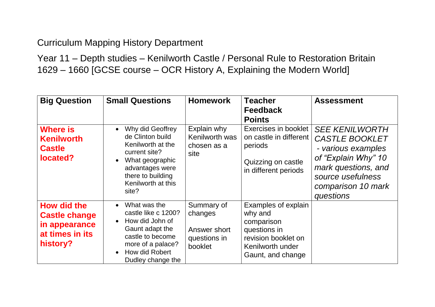## Curriculum Mapping History Department

Year 11 – Depth studies – Kenilworth Castle / Personal Rule to Restoration Britain 1629 – 1660 [GCSE course – OCR History A, Explaining the Modern World]

| <b>Big Question</b>                                                                 | <b>Small Questions</b>                                                                                                                                                                           | <b>Homework</b>                                                  | <b>Teacher</b><br><b>Feedback</b><br><b>Points</b>                                                                           | <b>Assessment</b>                                                                                                                                                          |
|-------------------------------------------------------------------------------------|--------------------------------------------------------------------------------------------------------------------------------------------------------------------------------------------------|------------------------------------------------------------------|------------------------------------------------------------------------------------------------------------------------------|----------------------------------------------------------------------------------------------------------------------------------------------------------------------------|
| <b>Where is</b><br><b>Kenilworth</b><br><b>Castle</b><br>located?                   | Why did Geoffrey<br>$\bullet$<br>de Clinton build<br>Kenilworth at the<br>current site?<br>What geographic<br>$\bullet$<br>advantages were<br>there to building<br>Kenilworth at this<br>site?   | Explain why<br>Kenilworth was<br>chosen as a<br>site             | Exercises in booklet<br>on castle in different<br>periods<br>Quizzing on castle<br>in different periods                      | <b>SEE KENILWORTH</b><br><b>CASTLE BOOKLET</b><br>- various examples<br>of "Explain Why" 10<br>mark questions, and<br>source usefulness<br>comparison 10 mark<br>questions |
| How did the<br><b>Castle change</b><br>in appearance<br>at times in its<br>history? | What was the<br>$\bullet$<br>castle like c 1200?<br>How did John of<br>$\bullet$<br>Gaunt adapt the<br>castle to become<br>more of a palace?<br>How did Robert<br>$\bullet$<br>Dudley change the | Summary of<br>changes<br>Answer short<br>questions in<br>booklet | Examples of explain<br>why and<br>comparison<br>questions in<br>revision booklet on<br>Kenilworth under<br>Gaunt, and change |                                                                                                                                                                            |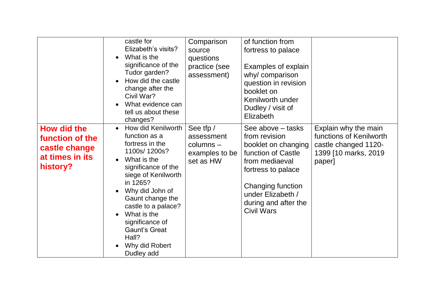|                                                                                       | castle for<br>Elizabeth's visits?<br>What is the<br>significance of the<br>Tudor garden?<br>How did the castle<br>change after the<br>Civil War?<br>What evidence can<br>tell us about these<br>changes?                                                                                                                            | Comparison<br>source<br>questions<br>practice (see<br>assessment)     | of function from<br>fortress to palace<br>Examples of explain<br>why/ comparison<br>question in revision<br>booklet on<br>Kenilworth under<br>Dudley / visit of<br>Elizabeth                                   |                                                                                                            |
|---------------------------------------------------------------------------------------|-------------------------------------------------------------------------------------------------------------------------------------------------------------------------------------------------------------------------------------------------------------------------------------------------------------------------------------|-----------------------------------------------------------------------|----------------------------------------------------------------------------------------------------------------------------------------------------------------------------------------------------------------|------------------------------------------------------------------------------------------------------------|
| <b>How did the</b><br>function of the<br>castle change<br>at times in its<br>history? | How did Kenilworth<br>$\bullet$<br>function as a<br>fortress in the<br>1100s/1200s?<br>What is the<br>$\bullet$<br>significance of the<br>siege of Kenilworth<br>in 1265?<br>Why did John of<br>Gaunt change the<br>castle to a palace?<br>What is the<br>significance of<br>Gaunt's Great<br>Hall?<br>Why did Robert<br>Dudley add | See tfp /<br>assessment<br>$columns -$<br>examples to be<br>set as HW | See above – tasks<br>from revision<br>booklet on changing<br>function of Castle<br>from mediaeval<br>fortress to palace<br>Changing function<br>under Elizabeth /<br>during and after the<br><b>Civil Wars</b> | Explain why the main<br>functions of Kenilworth<br>castle changed 1120-<br>1399 [10 marks, 2019]<br>paper] |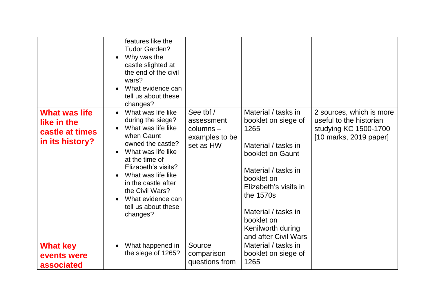|                                                                           | features like the<br><b>Tudor Garden?</b><br>Why was the<br>$\bullet$<br>castle slighted at<br>the end of the civil<br>wars?<br>What evidence can<br>$\bullet$<br>tell us about these<br>changes?                                                                                                                              |                                                                       |                                                                                                                                                                                                                                                            |                                                                                                          |
|---------------------------------------------------------------------------|--------------------------------------------------------------------------------------------------------------------------------------------------------------------------------------------------------------------------------------------------------------------------------------------------------------------------------|-----------------------------------------------------------------------|------------------------------------------------------------------------------------------------------------------------------------------------------------------------------------------------------------------------------------------------------------|----------------------------------------------------------------------------------------------------------|
| <b>What was life</b><br>like in the<br>castle at times<br>in its history? | What was life like<br>$\bullet$<br>during the siege?<br>What was life like<br>$\bullet$<br>when Gaunt<br>owned the castle?<br>What was life like<br>at the time of<br>Elizabeth's visits?<br>What was life like<br>$\bullet$<br>in the castle after<br>the Civil Wars?<br>What evidence can<br>tell us about these<br>changes? | See tbf /<br>assessment<br>$columns -$<br>examples to be<br>set as HW | Material / tasks in<br>booklet on siege of<br>1265<br>Material / tasks in<br>booklet on Gaunt<br>Material / tasks in<br>booklet on<br>Elizabeth's visits in<br>the 1570s<br>Material / tasks in<br>booklet on<br>Kenilworth during<br>and after Civil Wars | 2 sources, which is more<br>useful to the historian<br>studying KC 1500-1700<br>$[10$ marks, 2019 paper] |
| <b>What key</b><br>events were<br>associated                              | What happened in<br>$\bullet$<br>the siege of 1265?                                                                                                                                                                                                                                                                            | Source<br>comparison<br>questions from                                | Material / tasks in<br>booklet on siege of<br>1265                                                                                                                                                                                                         |                                                                                                          |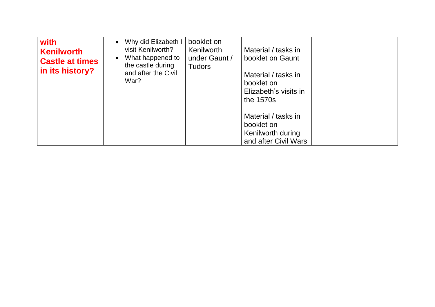| with<br><b>Kenilworth</b><br><b>Castle at times</b><br>in its history? | Why did Elizabeth I<br>$\bullet$<br>visit Kenilworth?<br>What happened to<br>$\bullet$<br>the castle during<br>and after the Civil<br>War? | booklet on<br>Kenilworth<br>under Gaunt /<br><b>Tudors</b> | Material / tasks in<br>booklet on Gaunt<br>Material / tasks in<br>booklet on<br>Elizabeth's visits in<br>the 1570s |  |
|------------------------------------------------------------------------|--------------------------------------------------------------------------------------------------------------------------------------------|------------------------------------------------------------|--------------------------------------------------------------------------------------------------------------------|--|
|                                                                        |                                                                                                                                            |                                                            | Material / tasks in<br>booklet on<br>Kenilworth during<br>and after Civil Wars                                     |  |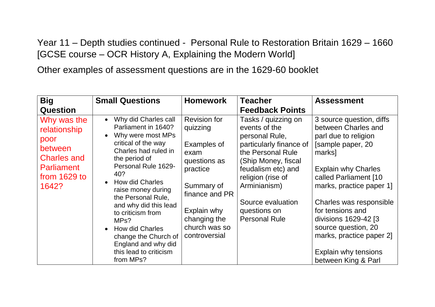Year 11 – Depth studies continued - Personal Rule to Restoration Britain 1629 – 1660 [GCSE course – OCR History A, Explaining the Modern World]

Other examples of assessment questions are in the 1629-60 booklet

| <b>Big</b>                                                                                                         | <b>Small Questions</b>                                                                                                                                                                                                                                                                                                                                                                                                  | <b>Homework</b>                                                                                                                                                                     | <b>Teacher</b>                                                                                                                                                                                                                                        | <b>Assessment</b>                                                                                                                                                                                                                                                                                                                                                  |
|--------------------------------------------------------------------------------------------------------------------|-------------------------------------------------------------------------------------------------------------------------------------------------------------------------------------------------------------------------------------------------------------------------------------------------------------------------------------------------------------------------------------------------------------------------|-------------------------------------------------------------------------------------------------------------------------------------------------------------------------------------|-------------------------------------------------------------------------------------------------------------------------------------------------------------------------------------------------------------------------------------------------------|--------------------------------------------------------------------------------------------------------------------------------------------------------------------------------------------------------------------------------------------------------------------------------------------------------------------------------------------------------------------|
| <b>Question</b>                                                                                                    |                                                                                                                                                                                                                                                                                                                                                                                                                         |                                                                                                                                                                                     | <b>Feedback Points</b>                                                                                                                                                                                                                                |                                                                                                                                                                                                                                                                                                                                                                    |
| Why was the<br>relationship<br>poor<br>between<br><b>Charles and</b><br><b>Parliament</b><br>from 1629 to<br>1642? | Why did Charles call<br>$\bullet$<br>Parliament in 1640?<br>Why were most MPs<br>critical of the way<br>Charles had ruled in<br>the period of<br>Personal Rule 1629-<br>40?<br><b>How did Charles</b><br>raise money during<br>the Personal Rule,<br>and why did this lead<br>to criticism from<br>MPs?<br><b>How did Charles</b><br>change the Church of<br>England and why did<br>this lead to criticism<br>from MPs? | <b>Revision for</b><br>quizzing<br>Examples of<br>exam<br>questions as<br>practice<br>Summary of<br>finance and PR<br>Explain why<br>changing the<br>church was so<br>controversial | Tasks / quizzing on<br>events of the<br>personal Rule,<br>particularly finance of<br>the Personal Rule<br>(Ship Money, fiscal<br>feudalism etc) and<br>religion (rise of<br>Arminianism)<br>Source evaluation<br>questions on<br><b>Personal Rule</b> | 3 source question, diffs<br>between Charles and<br>parl due to religion<br>[sample paper, 20<br>marks]<br><b>Explain why Charles</b><br>called Parliament [10<br>marks, practice paper 1]<br>Charles was responsible<br>for tensions and<br>divisions 1629-42 [3<br>source question, 20<br>marks, practice paper 2]<br>Explain why tensions<br>between King & Parl |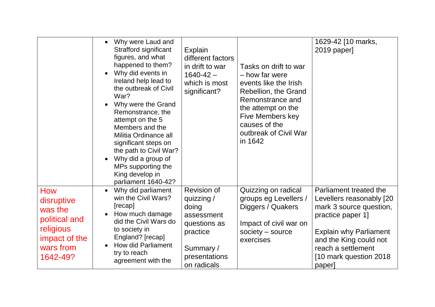|                                                            | Why were Laud and<br>Strafford significant<br>figures, and what<br>happened to them?<br>Why did events in<br>Ireland help lead to<br>the outbreak of Civil<br>War?<br>Why were the Grand<br>Remonstrance, the<br>attempt on the 5<br>Members and the<br>Militia Ordinance all<br>significant steps on<br>the path to Civil War?<br>Why did a group of<br>MPs supporting the<br>King develop in<br>parliament 1640-42? | Explain<br>different factors<br>in drift to war<br>$1640 - 42 -$<br>which is most<br>significant? | Tasks on drift to war<br>- how far were<br>events like the Irish<br>Rebellion, the Grand<br>Remonstrance and<br>the attempt on the<br>Five Members key<br>causes of the<br>outbreak of Civil War<br>in 1642 | 1629-42 [10 marks,<br>2019 paper]                                                                                  |
|------------------------------------------------------------|-----------------------------------------------------------------------------------------------------------------------------------------------------------------------------------------------------------------------------------------------------------------------------------------------------------------------------------------------------------------------------------------------------------------------|---------------------------------------------------------------------------------------------------|-------------------------------------------------------------------------------------------------------------------------------------------------------------------------------------------------------------|--------------------------------------------------------------------------------------------------------------------|
| How<br>disruptive<br>was the<br>political and<br>religious | Why did parliament<br>win the Civil Wars?<br>[recap]<br>How much damage<br>did the Civil Wars do<br>to society in                                                                                                                                                                                                                                                                                                     | <b>Revision of</b><br>quizzing /<br>doing<br>assessment<br>questions as                           | Quizzing on radical<br>groups eg Levellers /<br>Diggers / Quakers<br>Impact of civil war on                                                                                                                 | Parliament treated the<br>Levellers reasonably [20<br>mark 3 source question,<br>practice paper 1]                 |
| impact of the<br>wars from<br>1642-49?                     | England? [recap]<br><b>How did Parliament</b><br>try to reach<br>agreement with the                                                                                                                                                                                                                                                                                                                                   | practice<br>Summary/<br>presentations<br>on radicals                                              | society $-$ source<br>exercises                                                                                                                                                                             | <b>Explain why Parliament</b><br>and the King could not<br>reach a settlement<br>[10 mark question 2018]<br>paper] |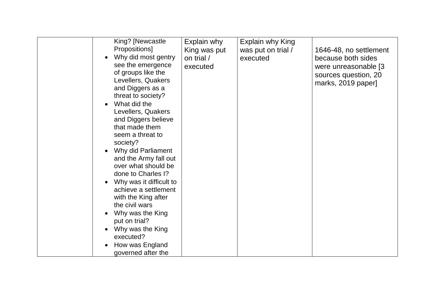| King? [Newcastle<br>Propositions]<br>Why did most gentry<br>see the emergence<br>of groups like the<br>Levellers, Quakers<br>and Diggers as a<br>threat to society?<br>What did the<br>Levellers, Quakers<br>and Diggers believe<br>that made them<br>seem a threat to<br>society?<br>Why did Parliament<br>and the Army fall out<br>over what should be<br>done to Charles I?<br>Why was it difficult to<br>achieve a settlement<br>with the King after<br>the civil wars<br>Why was the King<br>put on trial?<br>Why was the King<br>executed?<br>How was England<br>governed after the | Explain why<br>King was put<br>on trial /<br>executed | Explain why King<br>was put on trial /<br>executed | 1646-48, no settlement<br>because both sides<br>were unreasonable [3]<br>sources question, 20<br>marks, 2019 paper] |
|-------------------------------------------------------------------------------------------------------------------------------------------------------------------------------------------------------------------------------------------------------------------------------------------------------------------------------------------------------------------------------------------------------------------------------------------------------------------------------------------------------------------------------------------------------------------------------------------|-------------------------------------------------------|----------------------------------------------------|---------------------------------------------------------------------------------------------------------------------|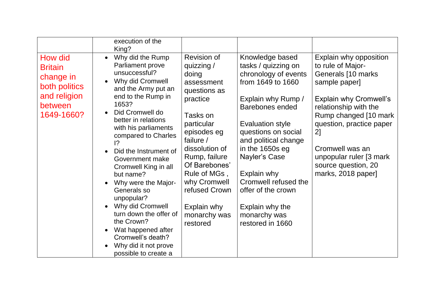|                                                                                                  | execution of the<br>King?                                                                                                                                                                                                                                                                                                                                                                                                                                                                                                                                                                                |                                                                                                                                                                                                                                                                                    |                                                                                                                                                                                                                                                                                                                                                                       |                                                                                                                                                                                                                                                                                                      |
|--------------------------------------------------------------------------------------------------|----------------------------------------------------------------------------------------------------------------------------------------------------------------------------------------------------------------------------------------------------------------------------------------------------------------------------------------------------------------------------------------------------------------------------------------------------------------------------------------------------------------------------------------------------------------------------------------------------------|------------------------------------------------------------------------------------------------------------------------------------------------------------------------------------------------------------------------------------------------------------------------------------|-----------------------------------------------------------------------------------------------------------------------------------------------------------------------------------------------------------------------------------------------------------------------------------------------------------------------------------------------------------------------|------------------------------------------------------------------------------------------------------------------------------------------------------------------------------------------------------------------------------------------------------------------------------------------------------|
| How did<br><b>Britain</b><br>change in<br>both politics<br>and religion<br>between<br>1649-1660? | Why did the Rump<br>$\bullet$<br>Parliament prove<br>unsuccessful?<br>Why did Cromwell<br>and the Army put an<br>end to the Rump in<br>1653?<br>Did Cromwell do<br>$\bullet$<br>better in relations<br>with his parliaments<br>compared to Charles<br>$\overline{12}$<br>Did the Instrument of<br>Government make<br>Cromwell King in all<br>but name?<br>Why were the Major-<br>$\bullet$<br>Generals so<br>unpopular?<br>Why did Cromwell<br>$\bullet$<br>turn down the offer of<br>the Crown?<br>Wat happened after<br>$\bullet$<br>Cromwell's death?<br>Why did it not prove<br>possible to create a | Revision of<br>quizzing /<br>doing<br>assessment<br>questions as<br>practice<br>Tasks on<br>particular<br>episodes eg<br>failure /<br>dissolution of<br>Rump, failure<br>Of Barebones'<br>Rule of MGs,<br>why Cromwell<br>refused Crown<br>Explain why<br>monarchy was<br>restored | Knowledge based<br>tasks / quizzing on<br>chronology of events<br>from 1649 to 1660<br>Explain why Rump /<br><b>Barebones ended</b><br><b>Evaluation style</b><br>questions on social<br>and political change<br>in the 1650s eg<br>Nayler's Case<br>Explain why<br>Cromwell refused the<br>offer of the crown<br>Explain why the<br>monarchy was<br>restored in 1660 | Explain why opposition<br>to rule of Major-<br>Generals [10 marks<br>sample paper]<br><b>Explain why Cromwell's</b><br>relationship with the<br>Rump changed [10 mark]<br>question, practice paper<br>2]<br>Cromwell was an<br>unpopular ruler [3 mark]<br>source question, 20<br>marks, 2018 paper] |